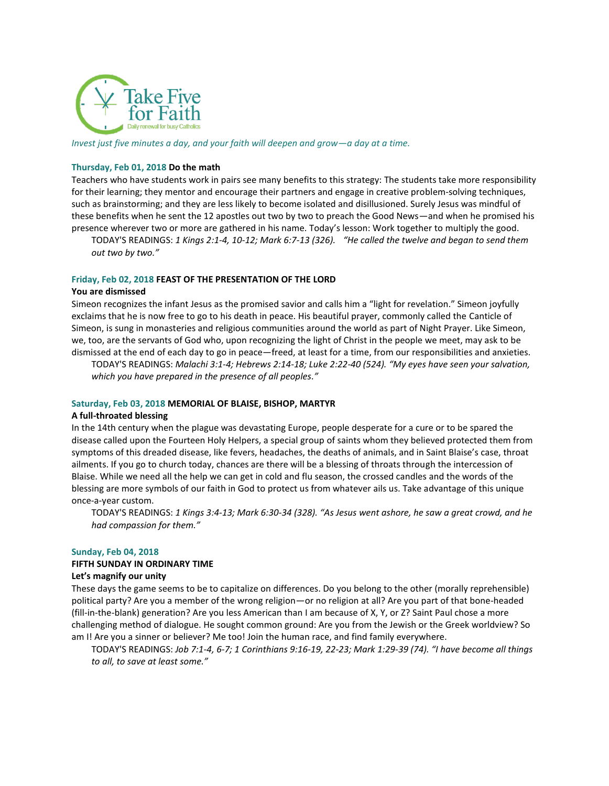

*Invest just five minutes a day, and your faith will deepen and grow—a day at a time.*

#### **Thursday, Feb 01, 2018 Do the math**

Teachers who have students work in pairs see many benefits to this strategy: The students take more responsibility for their learning; they mentor and encourage their partners and engage in creative problem-solving techniques, such as brainstorming; and they are less likely to become isolated and disillusioned. Surely Jesus was mindful of these benefits when he sent the 12 apostles out two by two to preach the Good News—and when he promised his presence wherever two or more are gathered in his name. Today's lesson: Work together to multiply the good.

TODAY'S READINGS: *1 Kings 2:1-4, 10-12; Mark 6:7-13 (326). "He called the twelve and began to send them out two by two."*

#### **Friday, Feb 02, 2018 FEAST OF THE PRESENTATION OF THE LORD**

#### **You are dismissed**

Simeon recognizes the infant Jesus as the promised savior and calls him a "light for revelation." Simeon joyfully exclaims that he is now free to go to his death in peace. His beautiful prayer, commonly called the Canticle of Simeon, is sung in monasteries and religious communities around the world as part of Night Prayer. Like Simeon, we, too, are the servants of God who, upon recognizing the light of Christ in the people we meet, may ask to be dismissed at the end of each day to go in peace—freed, at least for a time, from our responsibilities and anxieties.

TODAY'S READINGS: *Malachi 3:1-4; Hebrews 2:14-18; Luke 2:22-40 (524). "My eyes have seen your salvation, which you have prepared in the presence of all peoples."*

#### **Saturday, Feb 03, 2018 MEMORIAL OF BLAISE, BISHOP, MARTYR**

#### **A full-throated blessing**

In the 14th century when the plague was devastating Europe, people desperate for a cure or to be spared the disease called upon the Fourteen Holy Helpers, a special group of saints whom they believed protected them from symptoms of this dreaded disease, like fevers, headaches, the deaths of animals, and in Saint Blaise's case, throat ailments. If you go to church today, chances are there will be a blessing of throats through the intercession of Blaise. While we need all the help we can get in cold and flu season, the crossed candles and the words of the blessing are more symbols of our faith in God to protect us from whatever ails us. Take advantage of this unique once-a-year custom.

TODAY'S READINGS: *1 Kings 3:4-13; Mark 6:30-34 (328). "As Jesus went ashore, he saw a great crowd, and he had compassion for them."*

#### **Sunday, Feb 04, 2018**

# **FIFTH SUNDAY IN ORDINARY TIME**

#### **Let's magnify our unity**

These days the game seems to be to capitalize on differences. Do you belong to the other (morally reprehensible) political party? Are you a member of the wrong religion—or no religion at all? Are you part of that bone-headed (fill-in-the-blank) generation? Are you less American than I am because of X, Y, or Z? Saint Paul chose a more challenging method of dialogue. He sought common ground: Are you from the Jewish or the Greek worldview? So am I! Are you a sinner or believer? Me too! Join the human race, and find family everywhere.

TODAY'S READINGS: *Job 7:1-4, 6-7; 1 Corinthians 9:16-19, 22-23; Mark 1:29-39 (74). "I have become all things to all, to save at least some."*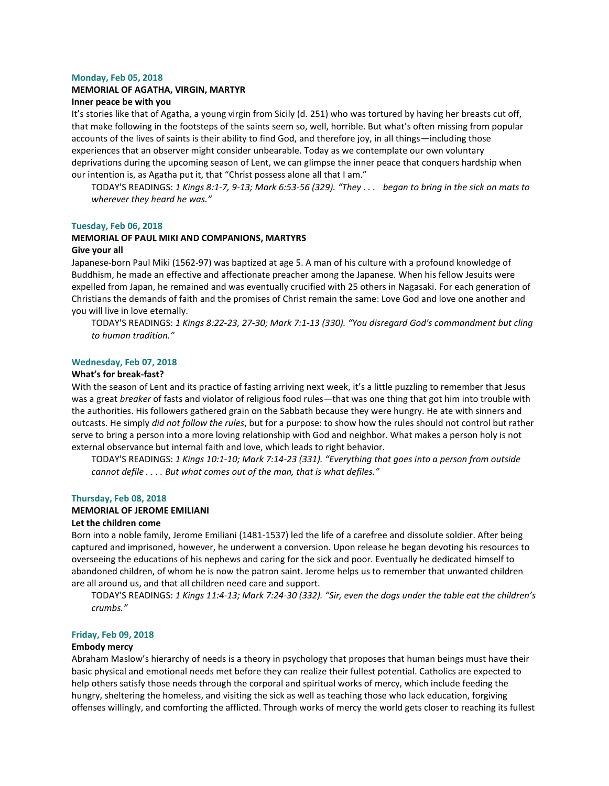#### **Monday, Feb 05, 2018**

# **MEMORIAL OF AGATHA, VIRGIN, MARTYR**

# **Inner peace be with you**

It's stories like that of Agatha, a young virgin from Sicily (d. 251) who was tortured by having her breasts cut off, that make following in the footsteps of the saints seem so, well, horrible. But what's often missing from popular accounts of the lives of saints is their ability to find God, and therefore joy, in all things—including those experiences that an observer might consider unbearable. Today as we contemplate our own voluntary deprivations during the upcoming season of Lent, we can glimpse the inner peace that conquers hardship when our intention is, as Agatha put it, that "Christ possess alone all that I am."

TODAY'S READINGS: *1 Kings 8:1-7, 9-13; Mark 6:53-56 (329). "They . . . began to bring in the sick on mats to wherever they heard he was."*

#### **Tuesday, Feb 06, 2018**

#### **MEMORIAL OF PAUL MIKI AND COMPANIONS, MARTYRS Give your all**

Japanese-born Paul Miki (1562-97) was baptized at age 5. A man of his culture with a profound knowledge of Buddhism, he made an effective and affectionate preacher among the Japanese. When his fellow Jesuits were expelled from Japan, he remained and was eventually crucified with 25 others in Nagasaki. For each generation of Christians the demands of faith and the promises of Christ remain the same: Love God and love one another and you will live in love eternally.

TODAY'S READINGS: *1 Kings 8:22-23, 27-30; Mark 7:1-13 (330). "You disregard God's commandment but cling to human tradition."*

# **Wednesday, Feb 07, 2018**

#### **What's for break-fast?**

With the season of Lent and its practice of fasting arriving next week, it's a little puzzling to remember that Jesus was a great *breaker* of fasts and violator of religious food rules—that was one thing that got him into trouble with the authorities. His followers gathered grain on the Sabbath because they were hungry. He ate with sinners and outcasts. He simply *did not follow the rules*, but for a purpose: to show how the rules should not control but rather serve to bring a person into a more loving relationship with God and neighbor. What makes a person holy is not external observance but internal faith and love, which leads to right behavior.

TODAY'S READINGS: *1 Kings 10:1-10; Mark 7:14-23 (331). "Everything that goes into a person from outside cannot defile . . . . But what comes out of the man, that is what defiles."*

# **Thursday, Feb 08, 2018**

### **MEMORIAL OF JEROME EMILIANI**

#### **Let the children come**

Born into a noble family, Jerome Emiliani (1481-1537) led the life of a carefree and dissolute soldier. After being captured and imprisoned, however, he underwent a conversion. Upon release he began devoting his resources to overseeing the educations of his nephews and caring for the sick and poor. Eventually he dedicated himself to abandoned children, of whom he is now the patron saint. Jerome helps us to remember that unwanted children are all around us, and that all children need care and support.

TODAY'S READINGS: *1 Kings 11:4-13; Mark 7:24-30 (332). "Sir, even the dogs under the table eat the children's crumbs."*

#### **Friday, Feb 09, 2018**

#### **Embody mercy**

Abraham Maslow's hierarchy of needs is a theory in psychology that proposes that human beings must have their basic physical and emotional needs met before they can realize their fullest potential. Catholics are expected to help others satisfy those needs through the corporal and spiritual works of mercy, which include feeding the hungry, sheltering the homeless, and visiting the sick as well as teaching those who lack education, forgiving offenses willingly, and comforting the afflicted. Through works of mercy the world gets closer to reaching its fullest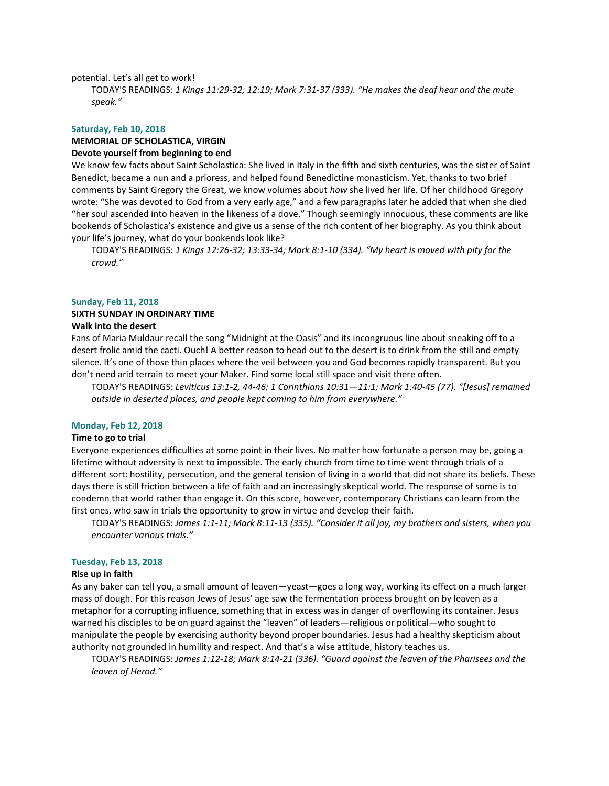potential. Let's all get to work!

TODAY'S READINGS: *1 Kings 11:29-32; 12:19; Mark 7:31-37 (333). "He makes the deaf hear and the mute speak."*

# **Saturday, Feb 10, 2018**

#### **MEMORIAL OF SCHOLASTICA, VIRGIN Devote yourself from beginning to end**

We know few facts about Saint Scholastica: She lived in Italy in the fifth and sixth centuries, was the sister of Saint Benedict, became a nun and a prioress, and helped found Benedictine monasticism. Yet, thanks to two brief comments by Saint Gregory the Great, we know volumes about *how* she lived her life. Of her childhood Gregory wrote: "She was devoted to God from a very early age," and a few paragraphs later he added that when she died "her soul ascended into heaven in the likeness of a dove." Though seemingly innocuous, these comments are like bookends of Scholastica's existence and give us a sense of the rich content of her biography. As you think about your life's journey, what do your bookends look like?

TODAY'S READINGS: *1 Kings 12:26-32; 13:33-34; Mark 8:1-10 (334). "My heart is moved with pity for the crowd."*

#### **Sunday, Feb 11, 2018**

# **SIXTH SUNDAY IN ORDINARY TIME**

# **Walk into the desert**

Fans of Maria Muldaur recall the song "Midnight at the Oasis" and its incongruous line about sneaking off to a desert frolic amid the cacti. Ouch! A better reason to head out to the desert is to drink from the still and empty silence. It's one of those thin places where the veil between you and God becomes rapidly transparent. But you don't need arid terrain to meet your Maker. Find some local still space and visit there often.

TODAY'S READINGS: *Leviticus 13:1-2, 44-46; 1 Corinthians 10:31—11:1; Mark 1:40-45 (77). "[Jesus] remained outside in deserted places, and people kept coming to him from everywhere."*

#### **Monday, Feb 12, 2018**

# **Time to go to trial**

Everyone experiences difficulties at some point in their lives. No matter how fortunate a person may be, going a lifetime without adversity is next to impossible. The early church from time to time went through trials of a different sort: hostility, persecution, and the general tension of living in a world that did not share its beliefs. These days there is still friction between a life of faith and an increasingly skeptical world. The response of some is to condemn that world rather than engage it. On this score, however, contemporary Christians can learn from the first ones, who saw in trials the opportunity to grow in virtue and develop their faith.

TODAY'S READINGS: *James 1:1-11; Mark 8:11-13 (335). "Consider it all joy, my brothers and sisters, when you encounter various trials."*

### **Tuesday, Feb 13, 2018**

#### **Rise up in faith**

As any baker can tell you, a small amount of leaven—yeast—goes a long way, working its effect on a much larger mass of dough. For this reason Jews of Jesus' age saw the fermentation process brought on by leaven as a metaphor for a corrupting influence, something that in excess was in danger of overflowing its container. Jesus warned his disciples to be on guard against the "leaven" of leaders—religious or political—who sought to manipulate the people by exercising authority beyond proper boundaries. Jesus had a healthy skepticism about authority not grounded in humility and respect. And that's a wise attitude, history teaches us.

TODAY'S READINGS: *James 1:12-18; Mark 8:14-21 (336). "Guard against the leaven of the Pharisees and the leaven of Herod."*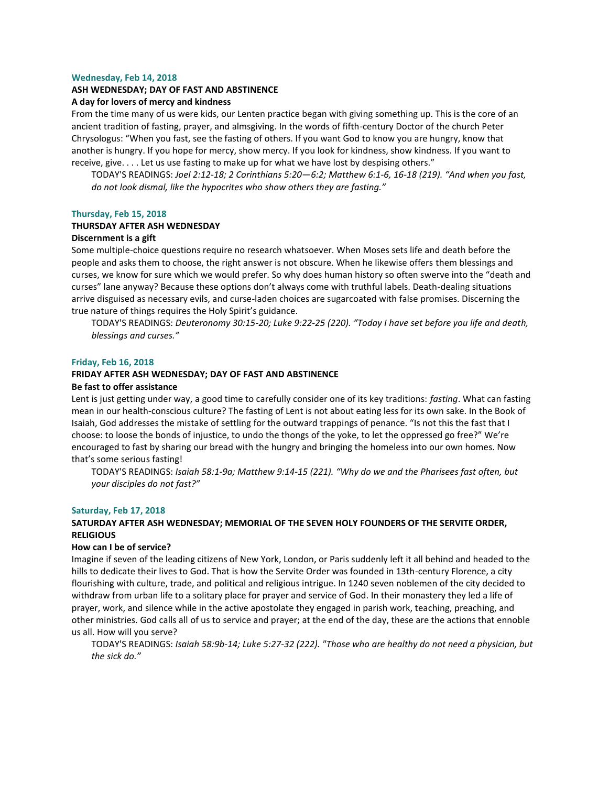#### **Wednesday, Feb 14, 2018**

#### **ASH WEDNESDAY; DAY OF FAST AND ABSTINENCE**

#### **A day for lovers of mercy and kindness**

From the time many of us were kids, our Lenten practice began with giving something up. This is the core of an ancient tradition of fasting, prayer, and almsgiving. In the words of fifth-century Doctor of the church Peter Chrysologus: "When you fast, see the fasting of others. If you want God to know you are hungry, know that another is hungry. If you hope for mercy, show mercy. If you look for kindness, show kindness. If you want to receive, give. . . . Let us use fasting to make up for what we have lost by despising others."

TODAY'S READINGS: *Joel 2:12-18; 2 Corinthians 5:20—6:2; Matthew 6:1-6, 16-18 (219). "And when you fast, do not look dismal, like the hypocrites who show others they are fasting."*

#### **Thursday, Feb 15, 2018**

# **THURSDAY AFTER ASH WEDNESDAY**

# **Discernment is a gift**

Some multiple-choice questions require no research whatsoever. When Moses sets life and death before the people and asks them to choose, the right answer is not obscure. When he likewise offers them blessings and curses, we know for sure which we would prefer. So why does human history so often swerve into the "death and curses" lane anyway? Because these options don't always come with truthful labels. Death-dealing situations arrive disguised as necessary evils, and curse-laden choices are sugarcoated with false promises. Discerning the true nature of things requires the Holy Spirit's guidance.

TODAY'S READINGS: *Deuteronomy 30:15-20; Luke 9:22-25 (220). "Today I have set before you life and death, blessings and curses."*

#### **Friday, Feb 16, 2018**

# **FRIDAY AFTER ASH WEDNESDAY; DAY OF FAST AND ABSTINENCE**

# **Be fast to offer assistance**

Lent is just getting under way, a good time to carefully consider one of its key traditions: *fasting*. What can fasting mean in our health-conscious culture? The fasting of Lent is not about eating less for its own sake. In the Book of Isaiah, God addresses the mistake of settling for the outward trappings of penance. "Is not this the fast that I choose: to loose the bonds of injustice, to undo the thongs of the yoke, to let the oppressed go free?" We're encouraged to fast by sharing our bread with the hungry and bringing the homeless into our own homes. Now that's some serious fasting!

TODAY'S READINGS: *Isaiah 58:1-9a; Matthew 9:14-15 (221). "Why do we and the Pharisees fast often, but your disciples do not fast?"*

#### **Saturday, Feb 17, 2018**

# **SATURDAY AFTER ASH WEDNESDAY; MEMORIAL OF THE SEVEN HOLY FOUNDERS OF THE SERVITE ORDER, RELIGIOUS**

# **How can I be of service?**

Imagine if seven of the leading citizens of New York, London, or Paris suddenly left it all behind and headed to the hills to dedicate their lives to God. That is how the Servite Order was founded in 13th-century Florence, a city flourishing with culture, trade, and political and religious intrigue. In 1240 seven noblemen of the city decided to withdraw from urban life to a solitary place for prayer and service of God. In their monastery they led a life of prayer, work, and silence while in the active apostolate they engaged in parish work, teaching, preaching, and other ministries. God calls all of us to service and prayer; at the end of the day, these are the actions that ennoble us all. How will you serve?

TODAY'S READINGS: *Isaiah 58:9b-14; Luke 5:27-32 (222). "Those who are healthy do not need a physician, but the sick do."*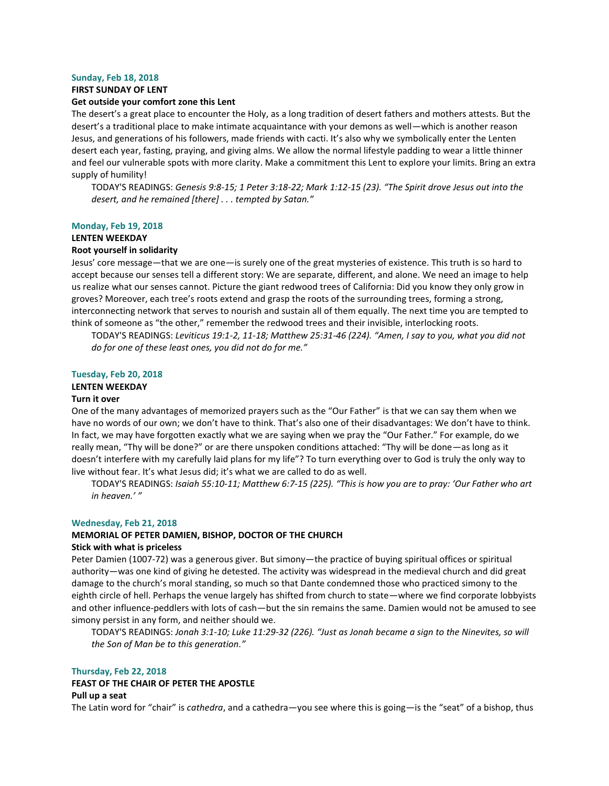#### **Sunday, Feb 18, 2018**

#### **FIRST SUNDAY OF LENT**

#### **Get outside your comfort zone this Lent**

The desert's a great place to encounter the Holy, as a long tradition of desert fathers and mothers attests. But the desert's a traditional place to make intimate acquaintance with your demons as well—which is another reason Jesus, and generations of his followers, made friends with cacti. It's also why we symbolically enter the Lenten desert each year, fasting, praying, and giving alms. We allow the normal lifestyle padding to wear a little thinner and feel our vulnerable spots with more clarity. Make a commitment this Lent to explore your limits. Bring an extra supply of humility!

TODAY'S READINGS: *Genesis 9:8-15; 1 Peter 3:18-22; Mark 1:12-15 (23). "The Spirit drove Jesus out into the desert, and he remained [there] . . . tempted by Satan."*

#### **Monday, Feb 19, 2018**

# **LENTEN WEEKDAY**

# **Root yourself in solidarity**

Jesus' core message—that we are one—is surely one of the great mysteries of existence. This truth is so hard to accept because our senses tell a different story: We are separate, different, and alone. We need an image to help us realize what our senses cannot. Picture the giant redwood trees of California: Did you know they only grow in groves? Moreover, each tree's roots extend and grasp the roots of the surrounding trees, forming a strong, interconnecting network that serves to nourish and sustain all of them equally. The next time you are tempted to think of someone as "the other," remember the redwood trees and their invisible, interlocking roots.

TODAY'S READINGS: *Leviticus 19:1-2, 11-18; Matthew 25:31-46 (224). "Amen, I say to you, what you did not do for one of these least ones, you did not do for me."*

#### **Tuesday, Feb 20, 2018**

# **LENTEN WEEKDAY**

#### **Turn it over**

One of the many advantages of memorized prayers such as the "Our Father" is that we can say them when we have no words of our own; we don't have to think. That's also one of their disadvantages: We don't have to think. In fact, we may have forgotten exactly what we are saying when we pray the "Our Father." For example, do we really mean, "Thy will be done?" or are there unspoken conditions attached: "Thy will be done—as long as it doesn't interfere with my carefully laid plans for my life"? To turn everything over to God is truly the only way to live without fear. It's what Jesus did; it's what we are called to do as well.

TODAY'S READINGS: *Isaiah 55:10-11; Matthew 6:7-15 (225). "This is how you are to pray: 'Our Father who art in heaven.' "*

#### **Wednesday, Feb 21, 2018**

### **MEMORIAL OF PETER DAMIEN, BISHOP, DOCTOR OF THE CHURCH**

# **Stick with what is priceless**

Peter Damien (1007-72) was a generous giver. But simony—the practice of buying spiritual offices or spiritual authority—was one kind of giving he detested. The activity was widespread in the medieval church and did great damage to the church's moral standing, so much so that Dante condemned those who practiced simony to the eighth circle of hell. Perhaps the venue largely has shifted from church to state—where we find corporate lobbyists and other influence-peddlers with lots of cash—but the sin remains the same. Damien would not be amused to see simony persist in any form, and neither should we.

TODAY'S READINGS: *Jonah 3:1-10; Luke 11:29-32 (226). "Just as Jonah became a sign to the Ninevites, so will the Son of Man be to this generation."*

# **Thursday, Feb 22, 2018**

# **FEAST OF THE CHAIR OF PETER THE APOSTLE**

# **Pull up a seat**

The Latin word for "chair" is *cathedra*, and a cathedra—you see where this is going—is the "seat" of a bishop, thus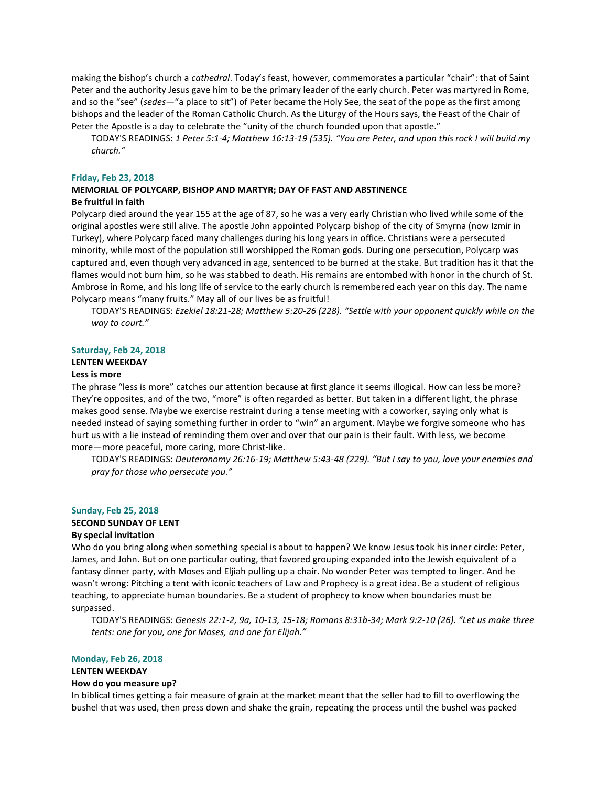making the bishop's church a *cathedral*. Today's feast, however, commemorates a particular "chair": that of Saint Peter and the authority Jesus gave him to be the primary leader of the early church. Peter was martyred in Rome, and so the "see" (*sedes*—"a place to sit") of Peter became the Holy See, the seat of the pope as the first among bishops and the leader of the Roman Catholic Church. As the Liturgy of the Hours says, the Feast of the Chair of Peter the Apostle is a day to celebrate the "unity of the church founded upon that apostle."

TODAY'S READINGS: *1 Peter 5:1-4; Matthew 16:13-19 (535). "You are Peter, and upon this rock I will build my church."*

#### **Friday, Feb 23, 2018**

# **MEMORIAL OF POLYCARP, BISHOP AND MARTYR; DAY OF FAST AND ABSTINENCE Be fruitful in faith**

Polycarp died around the year 155 at the age of 87, so he was a very early Christian who lived while some of the original apostles were still alive. The apostle John appointed Polycarp bishop of the city of Smyrna (now Izmir in Turkey), where Polycarp faced many challenges during his long years in office. Christians were a persecuted minority, while most of the population still worshipped the Roman gods. During one persecution, Polycarp was captured and, even though very advanced in age, sentenced to be burned at the stake. But tradition has it that the flames would not burn him, so he was stabbed to death. His remains are entombed with honor in the church of St. Ambrose in Rome, and his long life of service to the early church is remembered each year on this day. The name Polycarp means "many fruits." May all of our lives be as fruitful!

TODAY'S READINGS: *Ezekiel 18:21-28; Matthew 5:20-26 (228). "Settle with your opponent quickly while on the way to court."*

#### **Saturday, Feb 24, 2018**

# **LENTEN WEEKDAY**

#### **Less is more**

The phrase "less is more" catches our attention because at first glance it seems illogical. How can less be more? They're opposites, and of the two, "more" is often regarded as better. But taken in a different light, the phrase makes good sense. Maybe we exercise restraint during a tense meeting with a coworker, saying only what is needed instead of saying something further in order to "win" an argument. Maybe we forgive someone who has hurt us with a lie instead of reminding them over and over that our pain is their fault. With less, we become more—more peaceful, more caring, more Christ-like.

TODAY'S READINGS: *Deuteronomy 26:16-19; Matthew 5:43-48 (229). "But I say to you, love your enemies and pray for those who persecute you."*

#### **Sunday, Feb 25, 2018 SECOND SUNDAY OF LENT**

# **By special invitation**

Who do you bring along when something special is about to happen? We know Jesus took his inner circle: Peter, James, and John. But on one particular outing, that favored grouping expanded into the Jewish equivalent of a fantasy dinner party, with Moses and Eljiah pulling up a chair. No wonder Peter was tempted to linger. And he wasn't wrong: Pitching a tent with iconic teachers of Law and Prophecy is a great idea. Be a student of religious teaching, to appreciate human boundaries. Be a student of prophecy to know when boundaries must be surpassed.

TODAY'S READINGS: *Genesis 22:1-2, 9a, 10-13, 15-18; Romans 8:31b-34; Mark 9:2-10 (26). "Let us make three tents: one for you, one for Moses, and one for Elijah."*

#### **Monday, Feb 26, 2018**

# **LENTEN WEEKDAY**

# **How do you measure up?**

In biblical times getting a fair measure of grain at the market meant that the seller had to fill to overflowing the bushel that was used, then press down and shake the grain, repeating the process until the bushel was packed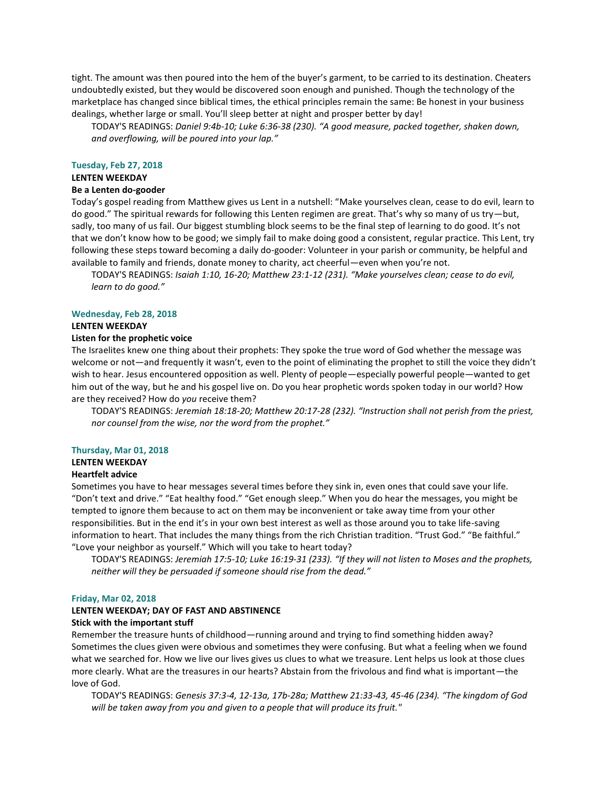tight. The amount was then poured into the hem of the buyer's garment, to be carried to its destination. Cheaters undoubtedly existed, but they would be discovered soon enough and punished. Though the technology of the marketplace has changed since biblical times, the ethical principles remain the same: Be honest in your business dealings, whether large or small. You'll sleep better at night and prosper better by day!

TODAY'S READINGS: *Daniel 9:4b-10; Luke 6:36-38 (230). "A good measure, packed together, shaken down, and overflowing, will be poured into your lap."*

#### **Tuesday, Feb 27, 2018**

# **LENTEN WEEKDAY**

# **Be a Lenten do-gooder**

Today's gospel reading from Matthew gives us Lent in a nutshell: "Make yourselves clean, cease to do evil, learn to do good." The spiritual rewards for following this Lenten regimen are great. That's why so many of us try—but, sadly, too many of us fail. Our biggest stumbling block seems to be the final step of learning to do good. It's not that we don't know how to be good; we simply fail to make doing good a consistent, regular practice. This Lent, try following these steps toward becoming a daily do-gooder: Volunteer in your parish or community, be helpful and available to family and friends, donate money to charity, act cheerful—even when you're not.

TODAY'S READINGS: *Isaiah 1:10, 16-20; Matthew 23:1-12 (231). "Make yourselves clean; cease to do evil, learn to do good."*

#### **Wednesday, Feb 28, 2018**

# **LENTEN WEEKDAY**

#### **Listen for the prophetic voice**

The Israelites knew one thing about their prophets: They spoke the true word of God whether the message was welcome or not—and frequently it wasn't, even to the point of eliminating the prophet to still the voice they didn't wish to hear. Jesus encountered opposition as well. Plenty of people—especially powerful people—wanted to get him out of the way, but he and his gospel live on. Do you hear prophetic words spoken today in our world? How are they received? How do *you* receive them?

TODAY'S READINGS: *Jeremiah 18:18-20; Matthew 20:17-28 (232). "Instruction shall not perish from the priest, nor counsel from the wise, nor the word from the prophet."*

#### **Thursday, Mar 01, 2018**

# **LENTEN WEEKDAY**

#### **Heartfelt advice**

Sometimes you have to hear messages several times before they sink in, even ones that could save your life. "Don't text and drive." "Eat healthy food." "Get enough sleep." When you do hear the messages, you might be tempted to ignore them because to act on them may be inconvenient or take away time from your other responsibilities. But in the end it's in your own best interest as well as those around you to take life-saving information to heart. That includes the many things from the rich Christian tradition. "Trust God." "Be faithful." "Love your neighbor as yourself." Which will you take to heart today?

TODAY'S READINGS: *Jeremiah 17:5-10; Luke 16:19-31 (233). "If they will not listen to Moses and the prophets, neither will they be persuaded if someone should rise from the dead."*

#### **Friday, Mar 02, 2018**

#### **LENTEN WEEKDAY; DAY OF FAST AND ABSTINENCE**

#### **Stick with the important stuff**

Remember the treasure hunts of childhood—running around and trying to find something hidden away? Sometimes the clues given were obvious and sometimes they were confusing. But what a feeling when we found what we searched for. How we live our lives gives us clues to what we treasure. Lent helps us look at those clues more clearly. What are the treasures in our hearts? Abstain from the frivolous and find what is important—the love of God.

TODAY'S READINGS: *Genesis 37:3-4, 12-13a, 17b-28a; Matthew 21:33-43, 45-46 (234). "The kingdom of God will be taken away from you and given to a people that will produce its fruit."*